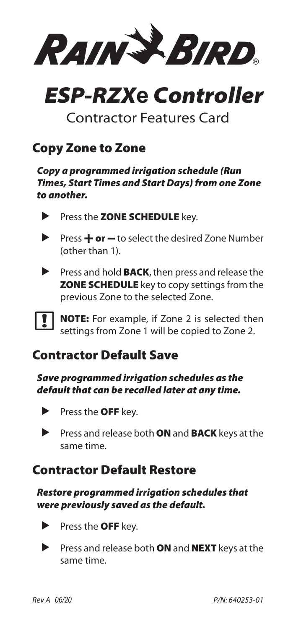Rain+Bird

# *ESP-RZX***e** *Controller*

### Contractor Features Card

### Copy Zone to Zone

*Copy a programmed irrigation schedule (Run Times, Start Times and Start Days) from one Zone to another.*

- Press the **ZONE SCHEDULE** key.
- **Press**  $\div$  **or**  $\div$  to select the desired Zone Number (other than 1).
- **Press and hold BACK**, then press and release the **ZONE SCHEDULE** key to copy settings from the previous Zone to the selected Zone.

NOTE: For example, if Zone 2 is selected then settings from Zone 1 will be copied to Zone 2.

### Contractor Default Save

*Save programmed irrigation schedules as the default that can be recalled later at any time.*

- $\blacktriangleright$  Press the **OFF** key.
- Press and release both ON and BACK keys at the same time.

### Contractor Default Restore

#### *Restore programmed irrigation schedules that were previously saved as the default.*

- $\blacktriangleright$  Press the **OFF** key.
- $\blacktriangleright$  Press and release both **ON** and **NEXT** keys at the same time.